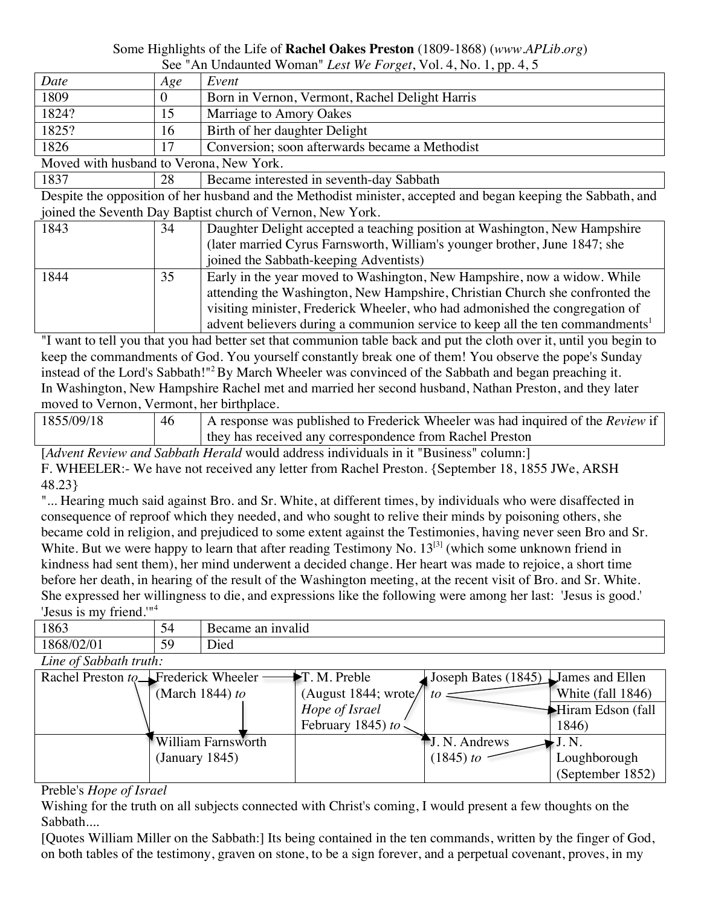## Some Highlights of the Life of **Rachel Oakes Preston** (1809-1868) (*www.APLib.org*)

|       | See "An Undaunted Woman" Lest We Forget, Vol. 4, No. 1, pp. 4, 5 |                                                |  |  |  |  |
|-------|------------------------------------------------------------------|------------------------------------------------|--|--|--|--|
| Date  | Age                                                              | Event                                          |  |  |  |  |
| 1809  |                                                                  | Born in Vernon, Vermont, Rachel Delight Harris |  |  |  |  |
| 1824? |                                                                  | Marriage to Amory Oakes                        |  |  |  |  |
| 1825? | 16                                                               | Birth of her daughter Delight                  |  |  |  |  |
| 1826  |                                                                  | Conversion; soon afterwards became a Methodist |  |  |  |  |

Moved with husband to Verona, New York.

1837 28 Became interested in seventh-day Sabbath

Despite the opposition of her husband and the Methodist minister, accepted and began keeping the Sabbath, and joined the Seventh Day Baptist church of Vernon, New York.

| 1843<br>Daughter Delight accepted a teaching position at Washington, New Hampshire<br>34<br>(later married Cyrus Farnsworth, William's younger brother, June 1847; she<br>joined the Sabbath-keeping Adventists)<br>1844<br>35<br>Early in the year moved to Washington, New Hampshire, now a widow. While |  |                                                                              |  |
|------------------------------------------------------------------------------------------------------------------------------------------------------------------------------------------------------------------------------------------------------------------------------------------------------------|--|------------------------------------------------------------------------------|--|
|                                                                                                                                                                                                                                                                                                            |  |                                                                              |  |
|                                                                                                                                                                                                                                                                                                            |  |                                                                              |  |
|                                                                                                                                                                                                                                                                                                            |  |                                                                              |  |
|                                                                                                                                                                                                                                                                                                            |  |                                                                              |  |
|                                                                                                                                                                                                                                                                                                            |  | attending the Washington, New Hampshire, Christian Church she confronted the |  |
| visiting minister, Frederick Wheeler, who had admonished the congregation of                                                                                                                                                                                                                               |  |                                                                              |  |
| advent believers during a communion service to keep all the ten commandments <sup>1</sup>                                                                                                                                                                                                                  |  |                                                                              |  |

"I want to tell you that you had better set that communion table back and put the cloth over it, until you begin to keep the commandments of God. You yourself constantly break one of them! You observe the pope's Sunday instead of the Lord's Sabbath!"2By March Wheeler was convinced of the Sabbath and began preaching it. In Washington, New Hampshire Rachel met and married her second husband, Nathan Preston, and they later moved to Vernon, Vermont, her birthplace.

| 1855/09/18 | 46 | A response was published to Frederick Wheeler was had inquired of the <i>Review</i> if<br>they has received any correspondence from Rachel Preston |
|------------|----|----------------------------------------------------------------------------------------------------------------------------------------------------|
|------------|----|----------------------------------------------------------------------------------------------------------------------------------------------------|

[*Advent Review and Sabbath Herald* would address individuals in it "Business" column:] F. WHEELER:- We have not received any letter from Rachel Preston. {September 18, 1855 JWe, ARSH 48.23}

"... Hearing much said against Bro. and Sr. White, at different times, by individuals who were disaffected in consequence of reproof which they needed, and who sought to relive their minds by poisoning others, she became cold in religion, and prejudiced to some extent against the Testimonies, having never seen Bro and Sr. White. But we were happy to learn that after reading Testimony No.  $13^{3}$  (which some unknown friend in kindness had sent them), her mind underwent a decided change. Her heart was made to rejoice, a short time before her death, in hearing of the result of the Washington meeting, at the recent visit of Bro. and Sr. White. She expressed her willingness to die, and expressions like the following were among her last: 'Jesus is good.' 'Jesus is my friend.'" 4

| 1863                                | 54              | Became an invalid  |                                    |                                     |                   |  |  |  |  |  |
|-------------------------------------|-----------------|--------------------|------------------------------------|-------------------------------------|-------------------|--|--|--|--|--|
| 1868/02/01                          | 59              | Died               |                                    |                                     |                   |  |  |  |  |  |
| Line of Sabbath truth:              |                 |                    |                                    |                                     |                   |  |  |  |  |  |
| Rachel Preston to Frederick Wheeler |                 |                    | $\blacktriangleright$ T. M. Preble | Joseph Bates (1845) James and Ellen |                   |  |  |  |  |  |
|                                     | (March 1844) to |                    | (August 1844; wrote/               | tΩ                                  | White (fall 1846) |  |  |  |  |  |
|                                     |                 |                    | Hope of Israel                     |                                     | Hiram Edson (fall |  |  |  |  |  |
|                                     |                 |                    | February 1845) to                  |                                     | 1846)             |  |  |  |  |  |
|                                     |                 | William Farnsworth |                                    | $\blacksquare$ J. N. Andrews        | J.N.              |  |  |  |  |  |
|                                     | (January 1845)  |                    |                                    | (1845) to                           | Loughborough      |  |  |  |  |  |
|                                     |                 |                    |                                    |                                     | (September 1852)  |  |  |  |  |  |

## Preble's *Hope of Israel*

Wishing for the truth on all subjects connected with Christ's coming, I would present a few thoughts on the Sabbath....

[Quotes William Miller on the Sabbath:] Its being contained in the ten commands, written by the finger of God, on both tables of the testimony, graven on stone, to be a sign forever, and a perpetual covenant, proves, in my